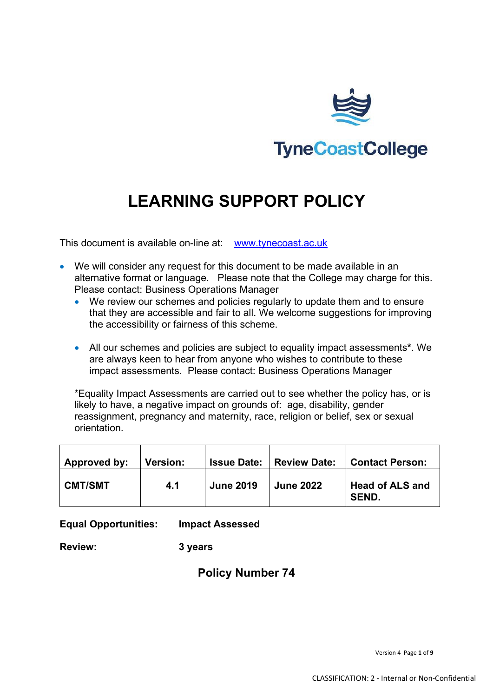

# **LEARNING SUPPORT POLICY**

This document is available on-line at: [www.tynecoast.ac.uk](http://www.tynecoast.ac.uk/)

- We will consider any request for this document to be made available in an alternative format or language. Please note that the College may charge for this. Please contact: Business Operations Manager
	- We review our schemes and policies regularly to update them and to ensure that they are accessible and fair to all. We welcome suggestions for improving the accessibility or fairness of this scheme.
	- All our schemes and policies are subject to equality impact assessments**\***. We are always keen to hear from anyone who wishes to contribute to these impact assessments. Please contact: Business Operations Manager

\*Equality Impact Assessments are carried out to see whether the policy has, or is likely to have, a negative impact on grounds of: age, disability, gender reassignment, pregnancy and maternity, race, religion or belief, sex or sexual orientation.

| Approved by:   | <b>Version:</b> |                  | <b>Issue Date:   Review Date:</b> | <b>Contact Person:</b>                 |
|----------------|-----------------|------------------|-----------------------------------|----------------------------------------|
| <b>CMT/SMT</b> | 4.1             | <b>June 2019</b> | <b>June 2022</b>                  | <b>Head of ALS and</b><br><b>SEND.</b> |

**Equal Opportunities: Impact Assessed**

**Review: 3 years**

#### **Policy Number 74**

Version 4 Page **1** of **9**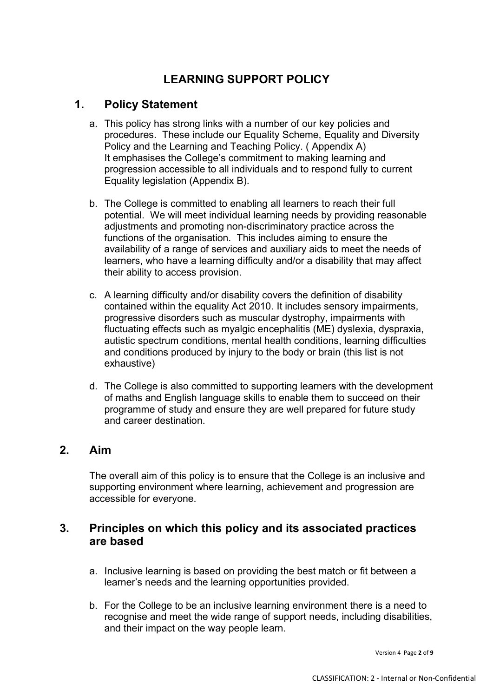## **LEARNING SUPPORT POLICY**

#### **1. Policy Statement**

- a. This policy has strong links with a number of our key policies and procedures. These include our Equality Scheme, Equality and Diversity Policy and the Learning and Teaching Policy. ( Appendix A) It emphasises the College's commitment to making learning and progression accessible to all individuals and to respond fully to current Equality legislation (Appendix B).
- b. The College is committed to enabling all learners to reach their full potential. We will meet individual learning needs by providing reasonable adjustments and promoting non-discriminatory practice across the functions of the organisation. This includes aiming to ensure the availability of a range of services and auxiliary aids to meet the needs of learners, who have a learning difficulty and/or a disability that may affect their ability to access provision.
- c. A learning difficulty and/or disability covers the definition of disability contained within the equality Act 2010. It includes sensory impairments, progressive disorders such as muscular dystrophy, impairments with fluctuating effects such as myalgic encephalitis (ME) dyslexia, dyspraxia, autistic spectrum conditions, mental health conditions, learning difficulties and conditions produced by injury to the body or brain (this list is not exhaustive)
- d. The College is also committed to supporting learners with the development of maths and English language skills to enable them to succeed on their programme of study and ensure they are well prepared for future study and career destination.

### **2. Aim**

The overall aim of this policy is to ensure that the College is an inclusive and supporting environment where learning, achievement and progression are accessible for everyone.

### **3. Principles on which this policy and its associated practices are based**

- a. Inclusive learning is based on providing the best match or fit between a learner's needs and the learning opportunities provided.
- b. For the College to be an inclusive learning environment there is a need to recognise and meet the wide range of support needs, including disabilities, and their impact on the way people learn.

Version 4 Page **2** of **9**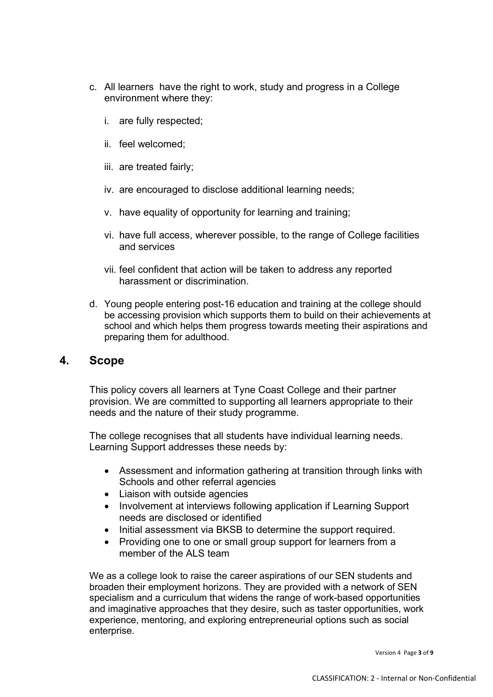- c. All learners have the right to work, study and progress in a College environment where they:
	- i. are fully respected;
	- ii. feel welcomed;
	- iii. are treated fairly;
	- iv. are encouraged to disclose additional learning needs;
	- v. have equality of opportunity for learning and training;
	- vi. have full access, wherever possible, to the range of College facilities and services
	- vii. feel confident that action will be taken to address any reported harassment or discrimination.
- d. Young people entering post-16 education and training at the college should be accessing provision which supports them to build on their achievements at school and which helps them progress towards meeting their aspirations and preparing them for adulthood.

#### **4. Scope**

This policy covers all learners at Tyne Coast College and their partner provision. We are committed to supporting all learners appropriate to their needs and the nature of their study programme.

The college recognises that all students have individual learning needs. Learning Support addresses these needs by:

- Assessment and information gathering at transition through links with Schools and other referral agencies
- Liaison with outside agencies
- Involvement at interviews following application if Learning Support needs are disclosed or identified
- Initial assessment via BKSB to determine the support required.
- Providing one to one or small group support for learners from a member of the ALS team

We as a college look to raise the career aspirations of our SEN students and broaden their employment horizons. They are provided with a network of SEN specialism and a curriculum that widens the range of work-based opportunities and imaginative approaches that they desire, such as taster opportunities, work experience, mentoring, and exploring entrepreneurial options such as social enterprise.

Version 4 Page **3** of **9**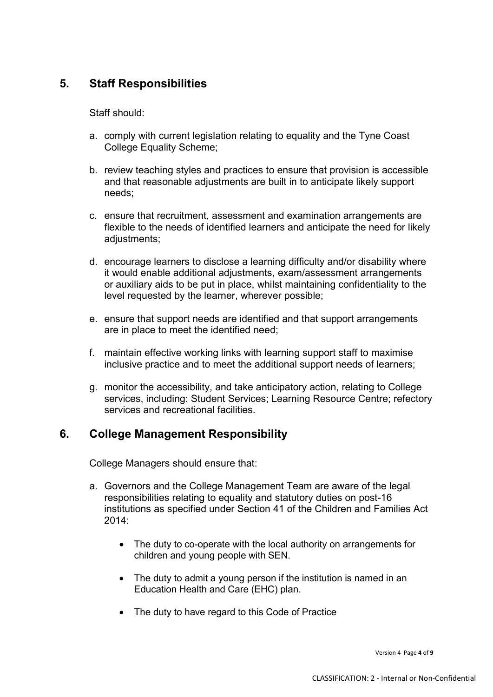## **5. Staff Responsibilities**

Staff should:

- a. comply with current legislation relating to equality and the Tyne Coast College Equality Scheme;
- b. review teaching styles and practices to ensure that provision is accessible and that reasonable adjustments are built in to anticipate likely support needs;
- c. ensure that recruitment, assessment and examination arrangements are flexible to the needs of identified learners and anticipate the need for likely adjustments;
- d. encourage learners to disclose a learning difficulty and/or disability where it would enable additional adjustments, exam/assessment arrangements or auxiliary aids to be put in place, whilst maintaining confidentiality to the level requested by the learner, wherever possible;
- e. ensure that support needs are identified and that support arrangements are in place to meet the identified need;
- f. maintain effective working links with learning support staff to maximise inclusive practice and to meet the additional support needs of learners;
- g. monitor the accessibility, and take anticipatory action, relating to College services, including: Student Services; Learning Resource Centre; refectory services and recreational facilities.

#### **6. College Management Responsibility**

College Managers should ensure that:

- a. Governors and the College Management Team are aware of the legal responsibilities relating to equality and statutory duties on post-16 institutions as specified under Section 41 of the Children and Families Act  $2014$ 
	- The duty to co-operate with the local authority on arrangements for children and young people with SEN.
	- The duty to admit a young person if the institution is named in an Education Health and Care (EHC) plan.
	- The duty to have regard to this Code of Practice

Version 4 Page **4** of **9**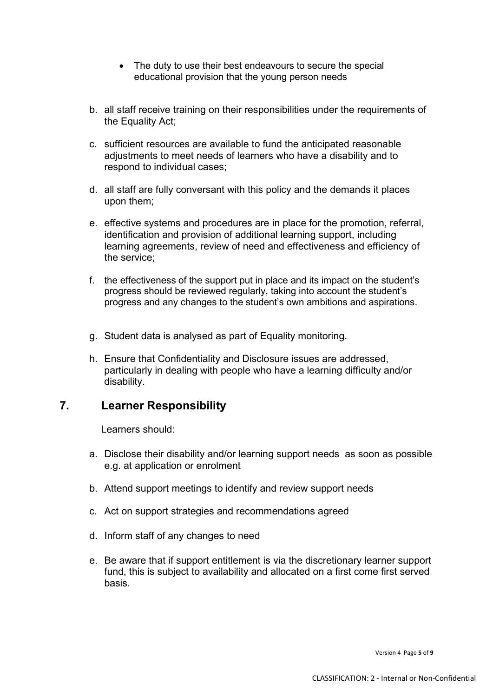- The duty to use their best endeavours to secure the special educational provision that the young person needs
- b. all staff receive training on their responsibilities under the requirements of the Equality Act;
- c. sufficient resources are available to fund the anticipated reasonable adjustments to meet needs of learners who have a disability and to respond to individual cases;
- d. all staff are fully conversant with this policy and the demands it places upon them;
- e. effective systems and procedures are in place for the promotion, referral, identification and provision of additional learning support, including learning agreements, review of need and effectiveness and efficiency of the service;
- f. the effectiveness of the support put in place and its impact on the student's progress should be reviewed regularly, taking into account the student's progress and any changes to the student's own ambitions and aspirations.
- g. Student data is analysed as part of Equality monitoring.
- h. Ensure that Confidentiality and Disclosure issues are addressed, particularly in dealing with people who have a learning difficulty and/or disability.

#### **7. Learner Responsibility**

Learners should:

- a. Disclose their disability and/or learning support needs as soon as possible e.g. at application or enrolment
- b. Attend support meetings to identify and review support needs
- c. Act on support strategies and recommendations agreed
- d. Inform staff of any changes to need
- e. Be aware that if support entitlement is via the discretionary learner support fund, this is subject to availability and allocated on a first come first served basis.

Version 4 Page **5** of **9**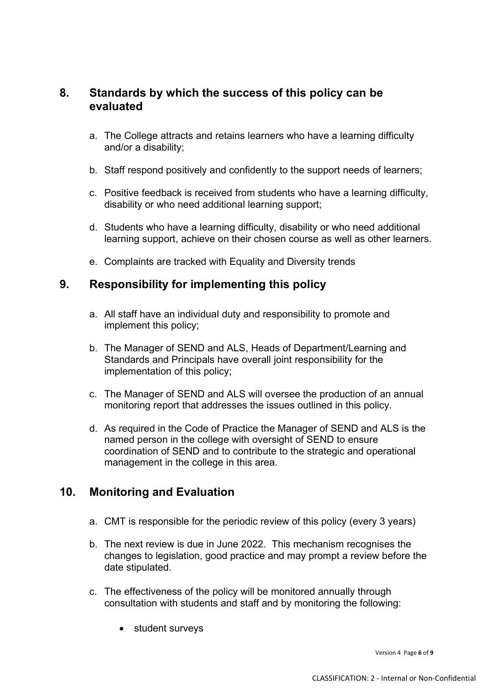### **8. Standards by which the success of this policy can be evaluated**

- a. The College attracts and retains learners who have a learning difficulty and/or a disability;
- b. Staff respond positively and confidently to the support needs of learners;
- c. Positive feedback is received from students who have a learning difficulty, disability or who need additional learning support;
- d. Students who have a learning difficulty, disability or who need additional learning support, achieve on their chosen course as well as other learners.
- e. Complaints are tracked with Equality and Diversity trends

#### **9. Responsibility for implementing this policy**

- a. All staff have an individual duty and responsibility to promote and implement this policy;
- b. The Manager of SEND and ALS, Heads of Department/Learning and Standards and Principals have overall joint responsibility for the implementation of this policy;
- c. The Manager of SEND and ALS will oversee the production of an annual monitoring report that addresses the issues outlined in this policy.
- d. As required in the Code of Practice the Manager of SEND and ALS is the named person in the college with oversight of SEND to ensure coordination of SEND and to contribute to the strategic and operational management in the college in this area.

#### **10. Monitoring and Evaluation**

- a. CMT is responsible for the periodic review of this policy (every 3 years)
- b. The next review is due in June 2022. This mechanism recognises the changes to legislation, good practice and may prompt a review before the date stipulated.
- c. The effectiveness of the policy will be monitored annually through consultation with students and staff and by monitoring the following:
	- student surveys

Version 4 Page **6** of **9**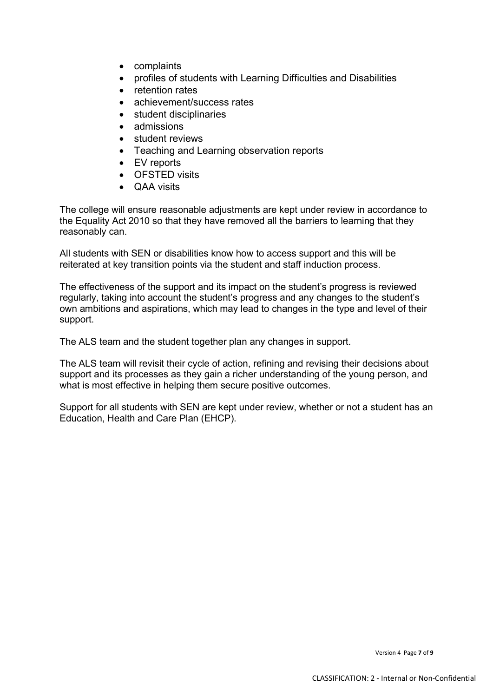- complaints
- profiles of students with Learning Difficulties and Disabilities
- retention rates
- achievement/success rates
- student disciplinaries
- admissions
- student reviews
- Teaching and Learning observation reports
- EV reports
- OFSTED visits
- QAA visits

The college will ensure reasonable adjustments are kept under review in accordance to the Equality Act 2010 so that they have removed all the barriers to learning that they reasonably can.

All students with SEN or disabilities know how to access support and this will be reiterated at key transition points via the student and staff induction process.

The effectiveness of the support and its impact on the student's progress is reviewed regularly, taking into account the student's progress and any changes to the student's own ambitions and aspirations, which may lead to changes in the type and level of their support.

The ALS team and the student together plan any changes in support.

The ALS team will revisit their cycle of action, refining and revising their decisions about support and its processes as they gain a richer understanding of the young person, and what is most effective in helping them secure positive outcomes.

Support for all students with SEN are kept under review, whether or not a student has an Education, Health and Care Plan (EHCP).

Version 4 Page **7** of **9**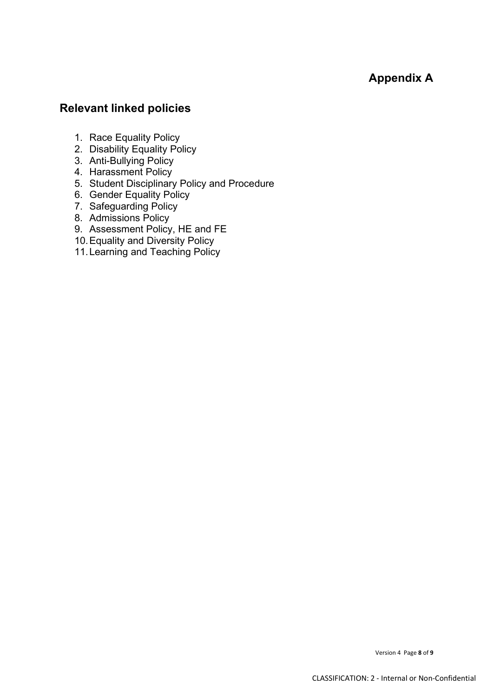**Appendix A** 

## **Relevant linked policies**

- 1. Race Equality Policy
- 2. Disability Equality Policy
- 3. Anti-Bullying Policy
- 4. Harassment Policy
- 5. Student Disciplinary Policy and Procedure
- 6. Gender Equality Policy
- 7. Safeguarding Policy
- 8. Admissions Policy
- 9. Assessment Policy, HE and FE
- 10.Equality and Diversity Policy
- 11. Learning and Teaching Policy

Version 4 Page **8** of **9**